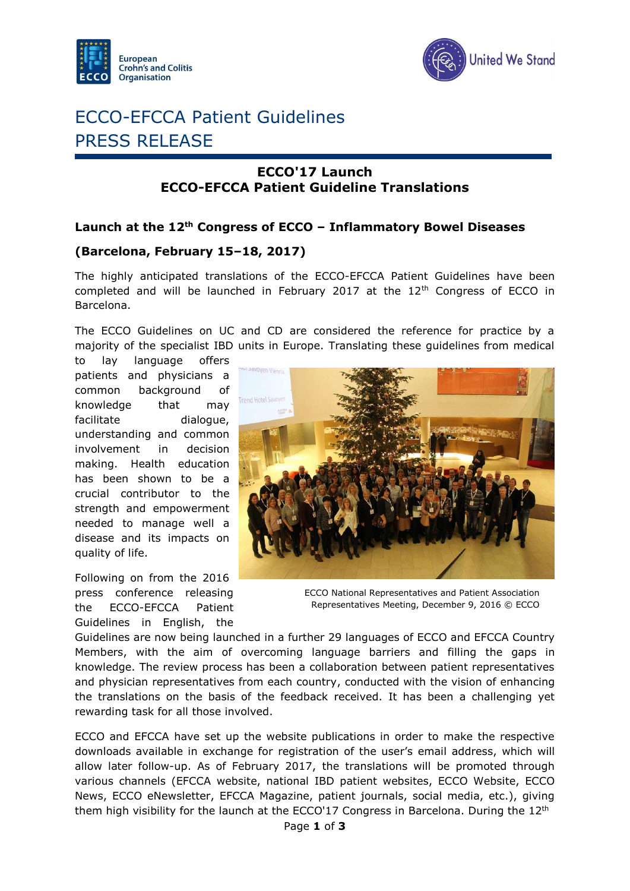



# ECCO-EFCCA Patient Guidelines PRESS RELEASE

### **ECCO'17 Launch ECCO-EFCCA Patient Guideline Translations**

### **Launch at the 12th Congress of ECCO – Inflammatory Bowel Diseases**

### **(Barcelona, February 15–18, 2017)**

The highly anticipated translations of the ECCO-EFCCA Patient Guidelines have been completed and will be launched in February 2017 at the  $12<sup>th</sup>$  Congress of ECCO in Barcelona.

The ECCO Guidelines on UC and CD are considered the reference for practice by a majority of the specialist IBD units in Europe. Translating these guidelines from medical

to lay language offers patients and physicians a common background of knowledge that may facilitate dialogue, understanding and common involvement in decision making. Health education has been shown to be a crucial contributor to the strength and empowerment needed to manage well a disease and its impacts on quality of life.

Following on from the 2016 press conference releasing the ECCO-EFCCA Patient Guidelines in English, the



ECCO National Representatives and Patient Association Representatives Meeting, December 9, 2016 © ECCO

Guidelines are now being launched in a further 29 languages of ECCO and EFCCA Country Members, with the aim of overcoming language barriers and filling the gaps in knowledge. The review process has been a collaboration between patient representatives and physician representatives from each country, conducted with the vision of enhancing the translations on the basis of the feedback received. It has been a challenging yet rewarding task for all those involved.

ECCO and EFCCA have set up the website publications in order to make the respective downloads available in exchange for registration of the user's email address, which will allow later follow-up. As of February 2017, the translations will be promoted through various channels (EFCCA website, national IBD patient websites, ECCO Website, ECCO News, ECCO eNewsletter, EFCCA Magazine, patient journals, social media, etc.), giving them high visibility for the launch at the ECCO'17 Congress in Barcelona. During the  $12<sup>th</sup>$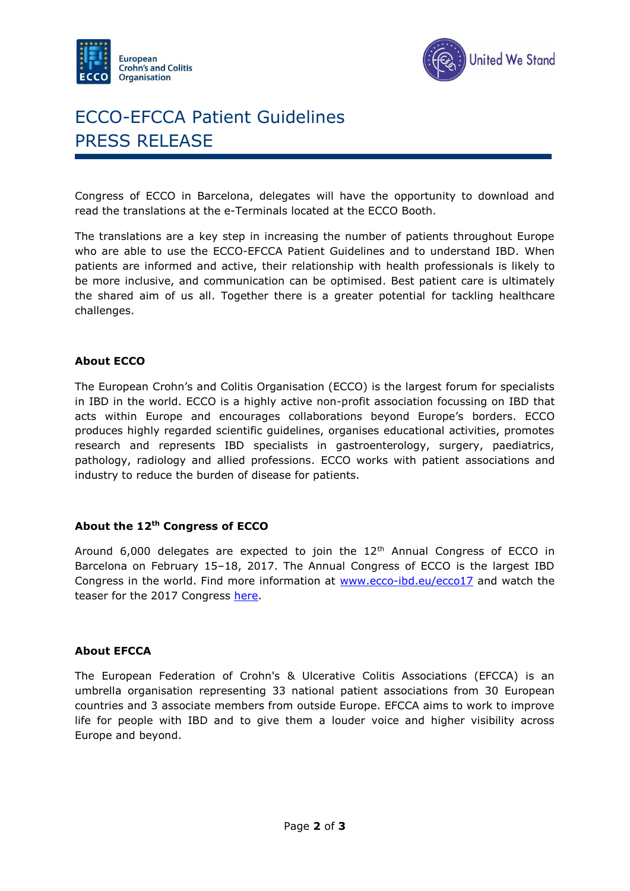



# ECCO-EFCCA Patient Guidelines PRESS RELEASE

Congress of ECCO in Barcelona, delegates will have the opportunity to download and read the translations at the e-Terminals located at the ECCO Booth.

The translations are a key step in increasing the number of patients throughout Europe who are able to use the ECCO-EFCCA Patient Guidelines and to understand IBD. When patients are informed and active, their relationship with health professionals is likely to be more inclusive, and communication can be optimised. Best patient care is ultimately the shared aim of us all. Together there is a greater potential for tackling healthcare challenges.

#### **About ECCO**

The European Crohn's and Colitis Organisation (ECCO) is the largest forum for specialists in IBD in the world. ECCO is a highly active non-profit association focussing on IBD that acts within Europe and encourages collaborations beyond Europe's borders. ECCO produces highly regarded scientific guidelines, organises educational activities, promotes research and represents IBD specialists in gastroenterology, surgery, paediatrics, pathology, radiology and allied professions. ECCO works with patient associations and industry to reduce the burden of disease for patients.

#### **About the 12th Congress of ECCO**

Around 6,000 delegates are expected to join the  $12<sup>th</sup>$  Annual Congress of ECCO in Barcelona on February 15–18, 2017. The Annual Congress of ECCO is the largest IBD Congress in the world. Find more information at [www.ecco-ibd.eu/ecco17](https://www.ecco-ibd.eu/ecco17) and watch the teaser for the 2017 Congress [here.](https://www.ecco-ibd.eu/index.php/our-congress-2017/ecco-17-film-teaser.html)

#### **About EFCCA**

The European Federation of Crohn's & Ulcerative Colitis Associations (EFCCA) is an umbrella organisation representing 33 national patient associations from 30 European countries and 3 associate members from outside Europe. EFCCA aims to work to improve life for people with IBD and to give them a louder voice and higher visibility across Europe and beyond.